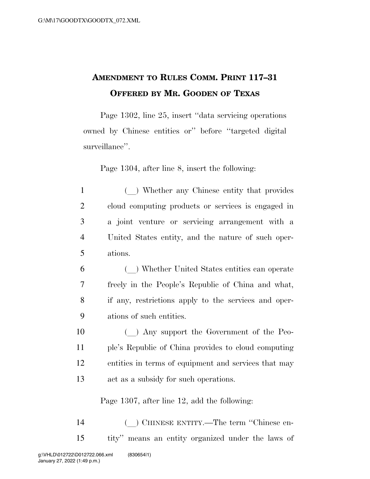## **AMENDMENT TO RULES COMM. PRINT 117–31 OFFERED BY MR. GOODEN OF TEXAS**

Page 1302, line 25, insert ''data servicing operations owned by Chinese entities or'' before ''targeted digital surveillance''.

Page 1304, after line 8, insert the following:

- 1 (a) Whether any Chinese entity that provides 2 cloud computing products or services is engaged in 3 a joint venture or servicing arrangement with a 4 United States entity, and the nature of such oper-5 ations.
- <sup>6</sup> (l) Whether United States entities can operate 7 freely in the People's Republic of China and what, 8 if any, restrictions apply to the services and oper-9 ations of such entities.
- 10 (a) Any support the Government of the Peo-11 ple's Republic of China provides to cloud computing 12 entities in terms of equipment and services that may 13 act as a subsidy for such operations.

Page 1307, after line 12, add the following:

<sup>14</sup> (l) CHINESE ENTITY.—The term ''Chinese en-15 tity'' means an entity organized under the laws of